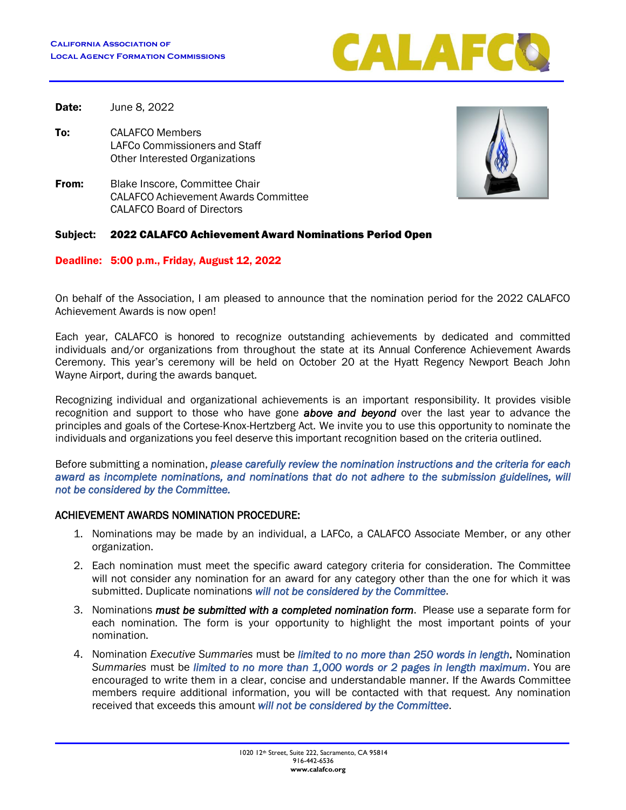

**Date:** June 8, 2022

- To: CALAFCO Members LAFCo Commissioners and Staff Other Interested Organizations
- **From:** Blake Inscore, Committee Chair CALAFCO Achievement Awards Committee CALAFCO Board of Directors

#### Subject: 2022 CALAFCO Achievement Award Nominations Period Open

Deadline: 5:00 p.m., Friday, August 12, 2022

On behalf of the Association, I am pleased to announce that the nomination period for the 2022 CALAFCO Achievement Awards is now open!

Each year, CALAFCO is honored to recognize outstanding achievements by dedicated and committed individuals and/or organizations from throughout the state at its Annual Conference Achievement Awards Ceremony. This year's ceremony will be held on October 20 at the Hyatt Regency Newport Beach John Wayne Airport, during the awards banquet.

Recognizing individual and organizational achievements is an important responsibility. It provides visible recognition and support to those who have gone *above and beyond* over the last year to advance the principles and goals of the Cortese-Knox-Hertzberg Act. We invite you to use this opportunity to nominate the individuals and organizations you feel deserve this important recognition based on the criteria outlined.

Before submitting a nomination, *please carefully review the nomination instructions and the criteria for each*  award as incomplete nominations, and nominations that do not adhere to the submission guidelines, will *not be considered by the Committee.* 

# ACHIEVEMENT AWARDS NOMINATION PROCEDURE:

- 1. Nominations may be made by an individual, a LAFCo, a CALAFCO Associate Member, or any other organization.
- 2. Each nomination must meet the specific award category criteria for consideration. The Committee will not consider any nomination for an award for any category other than the one for which it was submitted. Duplicate nominations *will not be considered by the Committee*.
- 3. Nominations *must be submitted with a completed nomination form*. Please use a separate form for each nomination. The form is your opportunity to highlight the most important points of your nomination.
- 4. Nomination *Executive Summaries* must be *limited to no more than 250 words in length.* Nomination *Summaries* must be *limited to no more than 1,000 words or 2 pages in length maximum*. You are encouraged to write them in a clear, concise and understandable manner. If the Awards Committee members require additional information, you will be contacted with that request. Any nomination received that exceeds this amount *will not be considered by the Committee*.

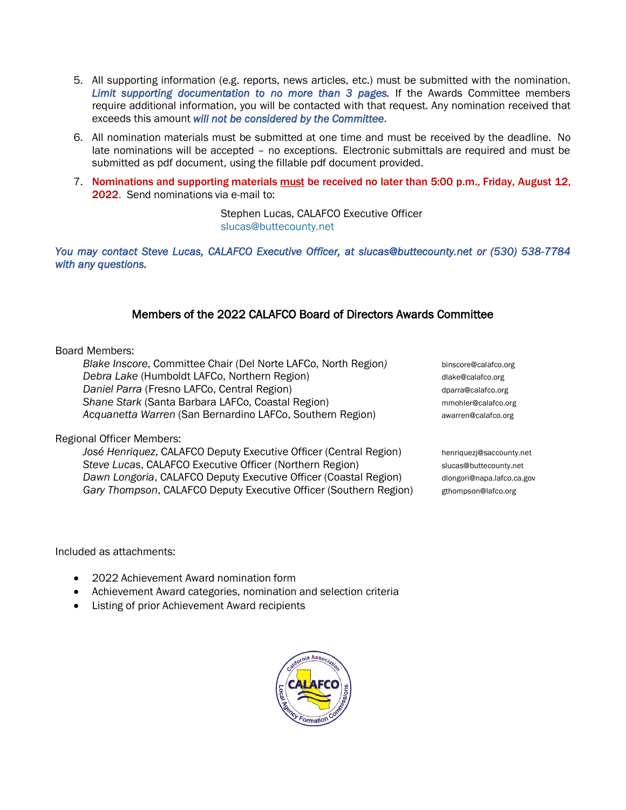- 5. All supporting information (e.g. reports, news articles, etc.) must be submitted with the nomination. *Limit supporting documentation to no more than 3 pages.* If the Awards Committee members require additional information, you will be contacted with that request. Any nomination received that exceeds this amount *will not be considered by the Committee*.
- 6. All nomination materials must be submitted at one time and must be received by the deadline. No late nominations will be accepted – no exceptions. Electronic submittals are required and must be submitted as pdf document, using the fillable pdf document provided.
- 7. Nominations and supporting materials must be received no later than 5:00 p.m., Friday, August 12, 2022. Send nominations via e-mail to:

Stephen Lucas, CALAFCO Executive Officer [slucas@buttecounty.net](mailto:slucas@buttecounty.net)

*You may contact Steve Lucas, CALAFCO Executive Officer, at slucas@buttecounty.net or (530) 538-7784 with any questions.* 

# Members of the 2022 CALAFCO Board of Directors Awards Committee

#### Board Members:

*Blake Inscore*, Committee Chair (Del Norte LAFCo, North Region) binscore@calafco.org **Debra Lake (Humboldt LAFCo, Northern Region)** dlake@calafco.org **Daniel Parra (Fresno LAFCo, Central Region)** details a parram-disposition of the disposition of the disposition **Shane Stark (Santa Barbara LAFCo, Coastal Region)** multimated and multime mmohler@calafco.org *Acquanetta Warren* (San Bernardino LAFCo, Southern Region) **a awarren@calafco.org** 

Regional Officer Members:

*José Henriquez*, CALAFCO Deputy Executive Officer (Central Region) henriquezj@saccounty.net **Steve Lucas, CALAFCO Executive Officer (Northern Region)** slucas@buttecounty.net **Dawn Longoria, CALAFCO Deputy Executive Officer (Coastal Region)** dlongori@napa.lafco.ca.gov Gary Thompson, CALAFCO Deputy Executive Officer (Southern Region) gthompson@lafco.org

Included as attachments:

- 2022 Achievement Award nomination form
- Achievement Award categories, nomination and selection criteria
- Listing of prior Achievement Award recipients

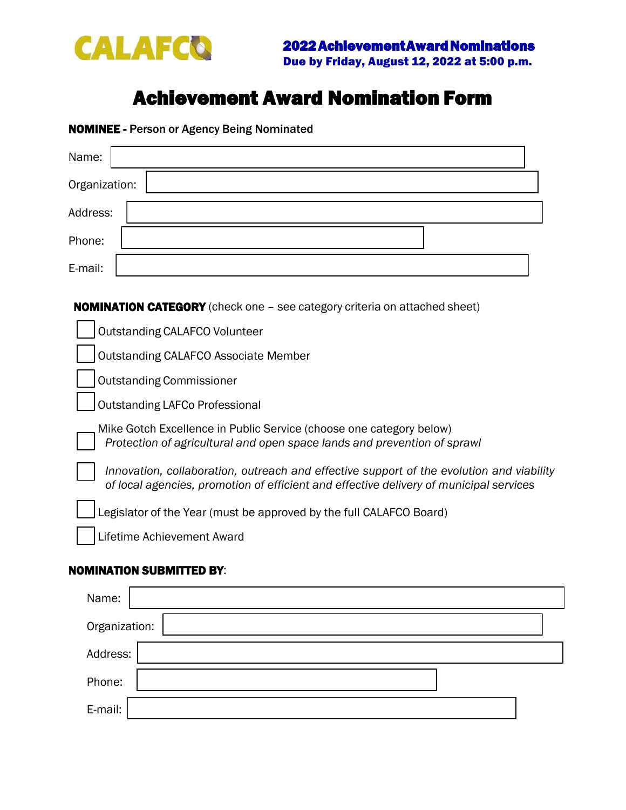

# Achievement Award Nomination Form

NOMINEE - Person or Agency Being Nominated

| Name:                                                                                                                                                                              |
|------------------------------------------------------------------------------------------------------------------------------------------------------------------------------------|
| Organization:                                                                                                                                                                      |
| Address:                                                                                                                                                                           |
| Phone:                                                                                                                                                                             |
| E-mail:                                                                                                                                                                            |
| <b>NOMINATION CATEGORY</b> (check one - see category criteria on attached sheet)                                                                                                   |
| <b>Outstanding CALAFCO Volunteer</b>                                                                                                                                               |
| <b>Outstanding CALAFCO Associate Member</b>                                                                                                                                        |
| <b>Outstanding Commissioner</b>                                                                                                                                                    |
| <b>Outstanding LAFCo Professional</b>                                                                                                                                              |
| Mike Gotch Excellence in Public Service (choose one category below)<br>Protection of agricultural and open space lands and prevention of sprawl                                    |
| Innovation, collaboration, outreach and effective support of the evolution and viability<br>of local agencies, promotion of efficient and effective delivery of municipal services |
| Legislator of the Year (must be approved by the full CALAFCO Board)                                                                                                                |
| Lifetime Achievement Award                                                                                                                                                         |

# NOMINATION SUBMITTED BY:

| Name:         |  |
|---------------|--|
| Organization: |  |
| Address:      |  |
| Phone:        |  |
| E-mail:       |  |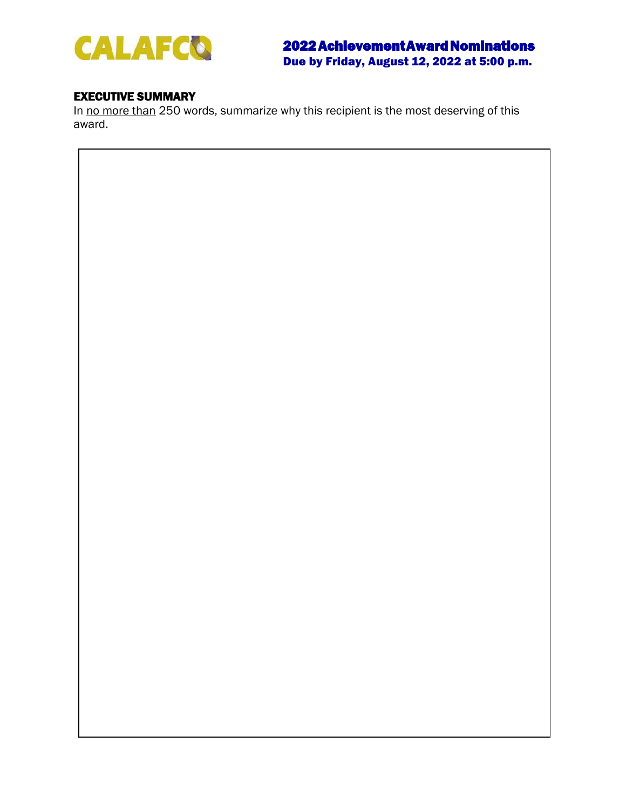

# EXECUTIVE SUMMARY

In no more than 250 words, summarize why this recipient is the most deserving of this award.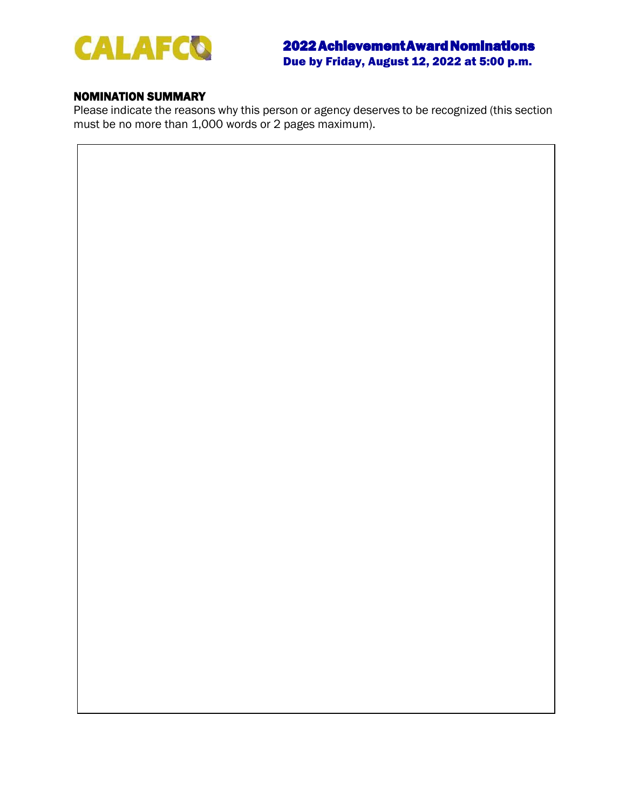

# NOMINATION SUMMARY

Please indicate the reasons why this person or agency deserves to be recognized (this section must be no more than 1,000 words or 2 pages maximum).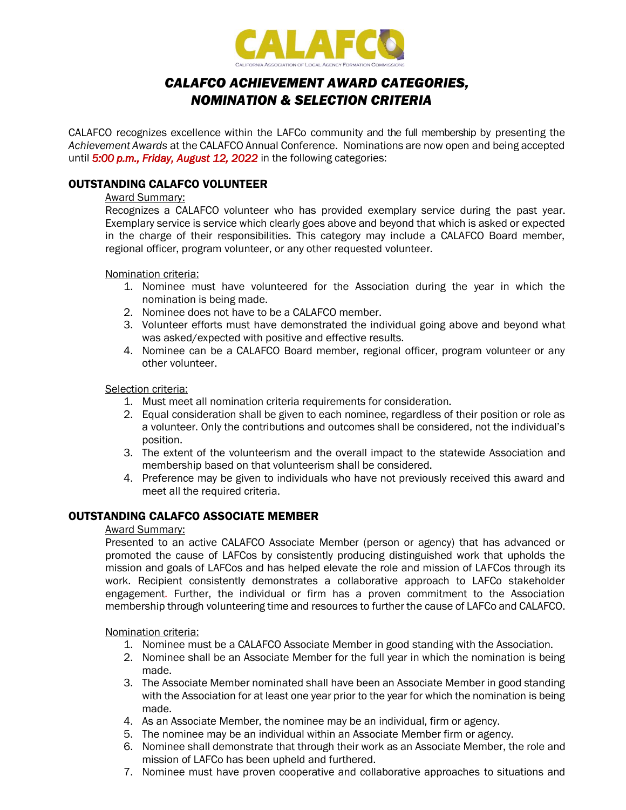

# *CALAFCO ACHIEVEMENT AWARD CATEGORIES, NOMINATION & SELECTION CRITERIA*

CALAFCO recognizes excellence within the LAFCo community and the full membership by presenting the *Achievement Awards* at the CALAFCO Annual Conference. Nominations are now open and being accepted until *5:00 p.m., Friday, August 12, 2022* in the following categories:

# OUTSTANDING CALAFCO VOLUNTEER

#### Award Summary:

Recognizes a CALAFCO volunteer who has provided exemplary service during the past year. Exemplary service is service which clearly goes above and beyond that which is asked or expected in the charge of their responsibilities. This category may include a CALAFCO Board member, regional officer, program volunteer, or any other requested volunteer.

Nomination criteria:

- 1. Nominee must have volunteered for the Association during the year in which the nomination is being made.
- 2. Nominee does not have to be a CALAFCO member.
- 3. Volunteer efforts must have demonstrated the individual going above and beyond what was asked/expected with positive and effective results.
- 4. Nominee can be a CALAFCO Board member, regional officer, program volunteer or any other volunteer.

# Selection criteria:

- 1. Must meet all nomination criteria requirements for consideration.
- 2. Equal consideration shall be given to each nominee, regardless of their position or role as a volunteer. Only the contributions and outcomes shall be considered, not the individual's position.
- 3. The extent of the volunteerism and the overall impact to the statewide Association and membership based on that volunteerism shall be considered.
- 4. Preference may be given to individuals who have not previously received this award and meet all the required criteria.

# OUTSTANDING CALAFCO ASSOCIATE MEMBER

#### Award Summary:

Presented to an active CALAFCO Associate Member (person or agency) that has advanced or promoted the cause of LAFCos by consistently producing distinguished work that upholds the mission and goals of LAFCos and has helped elevate the role and mission of LAFCos through its work. Recipient consistently demonstrates a collaborative approach to LAFCo stakeholder engagement. Further, the individual or firm has a proven commitment to the Association membership through volunteering time and resources to further the cause of LAFCo and CALAFCO.

Nomination criteria:

- 1. Nominee must be a CALAFCO Associate Member in good standing with the Association.
- 2. Nominee shall be an Associate Member for the full year in which the nomination is being made.
- 3. The Associate Member nominated shall have been an Associate Member in good standing with the Association for at least one year prior to the year for which the nomination is being made.
- 4. As an Associate Member, the nominee may be an individual, firm or agency.
- 5. The nominee may be an individual within an Associate Member firm or agency.
- 6. Nominee shall demonstrate that through their work as an Associate Member, the role and mission of LAFCo has been upheld and furthered.
- 7. Nominee must have proven cooperative and collaborative approaches to situations and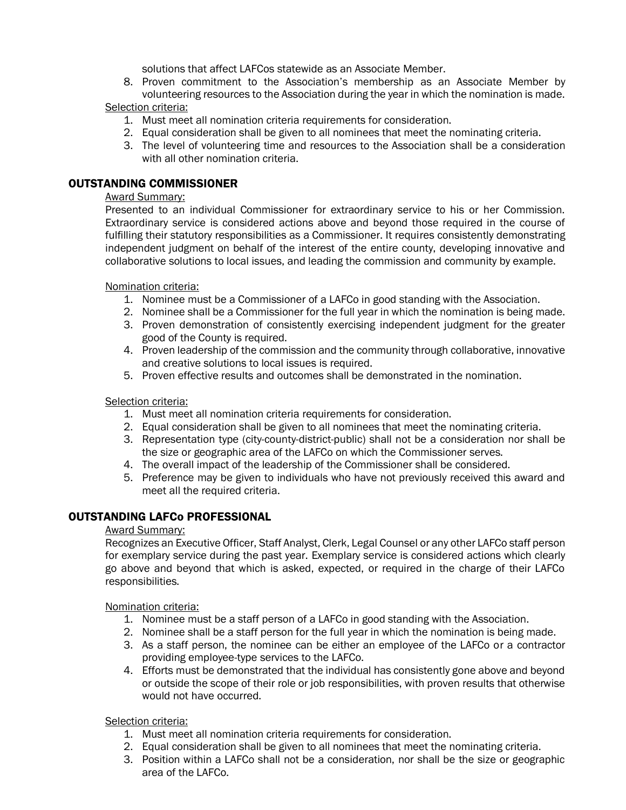solutions that affect LAFCos statewide as an Associate Member.

8. Proven commitment to the Association's membership as an Associate Member by volunteering resources to the Association during the year in which the nomination is made.

# Selection criteria:

- 1. Must meet all nomination criteria requirements for consideration.
- 2. Equal consideration shall be given to all nominees that meet the nominating criteria.
- 3. The level of volunteering time and resources to the Association shall be a consideration with all other nomination criteria.

# OUTSTANDING COMMISSIONER

# Award Summary:

Presented to an individual Commissioner for extraordinary service to his or her Commission. Extraordinary service is considered actions above and beyond those required in the course of fulfilling their statutory responsibilities as a Commissioner. It requires consistently demonstrating independent judgment on behalf of the interest of the entire county, developing innovative and collaborative solutions to local issues, and leading the commission and community by example.

# Nomination criteria:

- 1. Nominee must be a Commissioner of a LAFCo in good standing with the Association.
- 2. Nominee shall be a Commissioner for the full year in which the nomination is being made.
- 3. Proven demonstration of consistently exercising independent judgment for the greater good of the County is required.
- 4. Proven leadership of the commission and the community through collaborative, innovative and creative solutions to local issues is required.
- 5. Proven effective results and outcomes shall be demonstrated in the nomination.

# Selection criteria:

- 1. Must meet all nomination criteria requirements for consideration.
- 2. Equal consideration shall be given to all nominees that meet the nominating criteria.
- 3. Representation type (city-county-district-public) shall not be a consideration nor shall be the size or geographic area of the LAFCo on which the Commissioner serves.
- 4. The overall impact of the leadership of the Commissioner shall be considered.
- 5. Preference may be given to individuals who have not previously received this award and meet all the required criteria.

# OUTSTANDING LAFCo PROFESSIONAL

# Award Summary:

Recognizes an Executive Officer, Staff Analyst, Clerk, Legal Counsel or any other LAFCo staff person for exemplary service during the past year. Exemplary service is considered actions which clearly go above and beyond that which is asked, expected, or required in the charge of their LAFCo responsibilities.

Nomination criteria:

- 1. Nominee must be a staff person of a LAFCo in good standing with the Association.
- 2. Nominee shall be a staff person for the full year in which the nomination is being made.
- 3. As a staff person, the nominee can be either an employee of the LAFCo or a contractor providing employee-type services to the LAFCo.
- 4. Efforts must be demonstrated that the individual has consistently gone above and beyond or outside the scope of their role or job responsibilities, with proven results that otherwise would not have occurred.

# Selection criteria:

- 1. Must meet all nomination criteria requirements for consideration.
- 2. Equal consideration shall be given to all nominees that meet the nominating criteria.
- 3. Position within a LAFCo shall not be a consideration, nor shall be the size or geographic area of the LAFCo.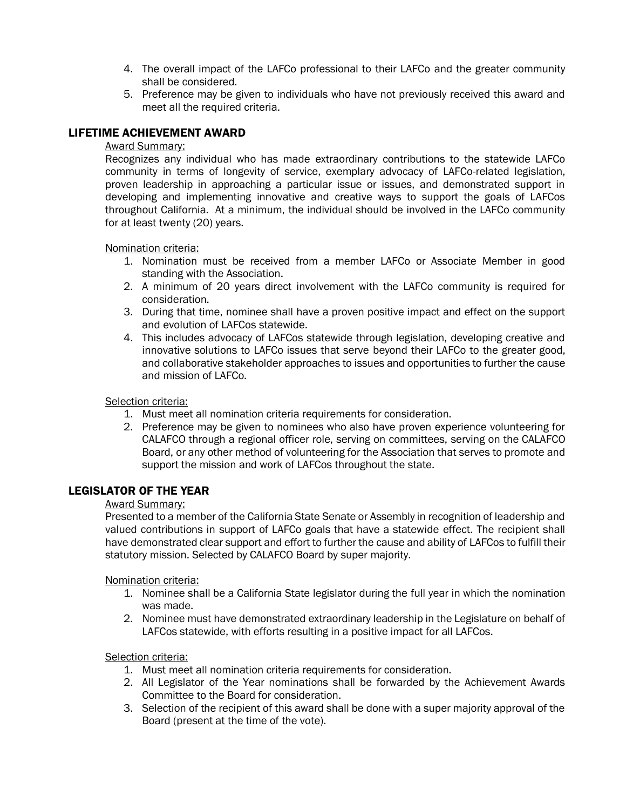- 4. The overall impact of the LAFCo professional to their LAFCo and the greater community shall be considered.
- 5. Preference may be given to individuals who have not previously received this award and meet all the required criteria.

# LIFETIME ACHIEVEMENT AWARD

#### Award Summary:

Recognizes any individual who has made extraordinary contributions to the statewide LAFCo community in terms of longevity of service, exemplary advocacy of LAFCo-related legislation, proven leadership in approaching a particular issue or issues, and demonstrated support in developing and implementing innovative and creative ways to support the goals of LAFCos throughout California. At a minimum, the individual should be involved in the LAFCo community for at least twenty (20) years.

Nomination criteria:

- 1. Nomination must be received from a member LAFCo or Associate Member in good standing with the Association.
- 2. A minimum of 20 years direct involvement with the LAFCo community is required for consideration.
- 3. During that time, nominee shall have a proven positive impact and effect on the support and evolution of LAFCos statewide.
- 4. This includes advocacy of LAFCos statewide through legislation, developing creative and innovative solutions to LAFCo issues that serve beyond their LAFCo to the greater good, and collaborative stakeholder approaches to issues and opportunities to further the cause and mission of LAFCo.

#### Selection criteria:

- 1. Must meet all nomination criteria requirements for consideration.
- 2. Preference may be given to nominees who also have proven experience volunteering for CALAFCO through a regional officer role, serving on committees, serving on the CALAFCO Board, or any other method of volunteering for the Association that serves to promote and support the mission and work of LAFCos throughout the state.

# LEGISLATOR OF THE YEAR

#### Award Summary:

Presented to a member of the California State Senate or Assembly in recognition of leadership and valued contributions in support of LAFCo goals that have a statewide effect. The recipient shall have demonstrated clear support and effort to further the cause and ability of LAFCos to fulfill their statutory mission. Selected by CALAFCO Board by super majority.

#### Nomination criteria:

- 1. Nominee shall be a California State legislator during the full year in which the nomination was made.
- 2. Nominee must have demonstrated extraordinary leadership in the Legislature on behalf of LAFCos statewide, with efforts resulting in a positive impact for all LAFCos.

# Selection criteria:

- 1. Must meet all nomination criteria requirements for consideration.
- 2. All Legislator of the Year nominations shall be forwarded by the Achievement Awards Committee to the Board for consideration.
- 3. Selection of the recipient of this award shall be done with a super majority approval of the Board (present at the time of the vote).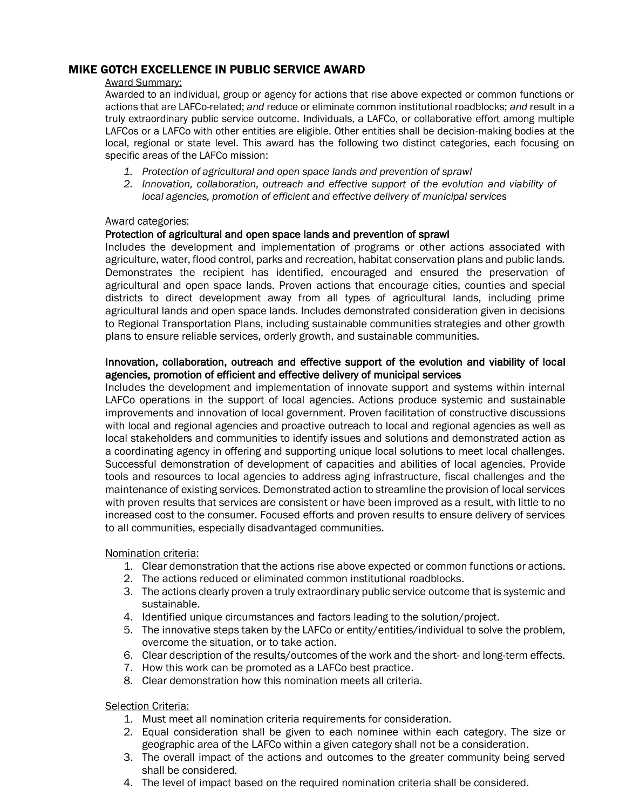# MIKE GOTCH EXCELLENCE IN PUBLIC SERVICE AWARD

#### Award Summary:

Awarded to an individual, group or agency for actions that rise above expected or common functions or actions that are LAFCo-related; *and* reduce or eliminate common institutional roadblocks; *and* result in a truly extraordinary public service outcome. Individuals, a LAFCo, or collaborative effort among multiple LAFCos or a LAFCo with other entities are eligible. Other entities shall be decision-making bodies at the local, regional or state level. This award has the following two distinct categories, each focusing on specific areas of the LAFCo mission:

- *1. Protection of agricultural and open space lands and prevention of sprawl*
- *2. Innovation, collaboration, outreach and effective support of the evolution and viability of local agencies, promotion of efficient and effective delivery of municipal services*

#### Award categories:

# Protection of agricultural and open space lands and prevention of sprawl

Includes the development and implementation of programs or other actions associated with agriculture, water, flood control, parks and recreation, habitat conservation plans and public lands. Demonstrates the recipient has identified, encouraged and ensured the preservation of agricultural and open space lands. Proven actions that encourage cities, counties and special districts to direct development away from all types of agricultural lands, including prime agricultural lands and open space lands. Includes demonstrated consideration given in decisions to Regional Transportation Plans, including sustainable communities strategies and other growth plans to ensure reliable services, orderly growth, and sustainable communities.

# Innovation, collaboration, outreach and effective support of the evolution and viability of local agencies, promotion of efficient and effective delivery of municipal services

Includes the development and implementation of innovate support and systems within internal LAFCo operations in the support of local agencies. Actions produce systemic and sustainable improvements and innovation of local government. Proven facilitation of constructive discussions with local and regional agencies and proactive outreach to local and regional agencies as well as local stakeholders and communities to identify issues and solutions and demonstrated action as a coordinating agency in offering and supporting unique local solutions to meet local challenges. Successful demonstration of development of capacities and abilities of local agencies. Provide tools and resources to local agencies to address aging infrastructure, fiscal challenges and the maintenance of existing services. Demonstrated action to streamline the provision of local services with proven results that services are consistent or have been improved as a result, with little to no increased cost to the consumer. Focused efforts and proven results to ensure delivery of services to all communities, especially disadvantaged communities.

Nomination criteria:

- 1. Clear demonstration that the actions rise above expected or common functions or actions.
- 2. The actions reduced or eliminated common institutional roadblocks.
- 3. The actions clearly proven a truly extraordinary public service outcome that is systemic and sustainable.
- 4. Identified unique circumstances and factors leading to the solution/project.
- 5. The innovative steps taken by the LAFCo or entity/entities/individual to solve the problem, overcome the situation, or to take action.
- 6. Clear description of the results/outcomes of the work and the short- and long-term effects.
- 7. How this work can be promoted as a LAFCo best practice.
- 8. Clear demonstration how this nomination meets all criteria.

Selection Criteria:

- 1. Must meet all nomination criteria requirements for consideration.
- 2. Equal consideration shall be given to each nominee within each category. The size or geographic area of the LAFCo within a given category shall not be a consideration.
- 3. The overall impact of the actions and outcomes to the greater community being served shall be considered.
- 4. The level of impact based on the required nomination criteria shall be considered.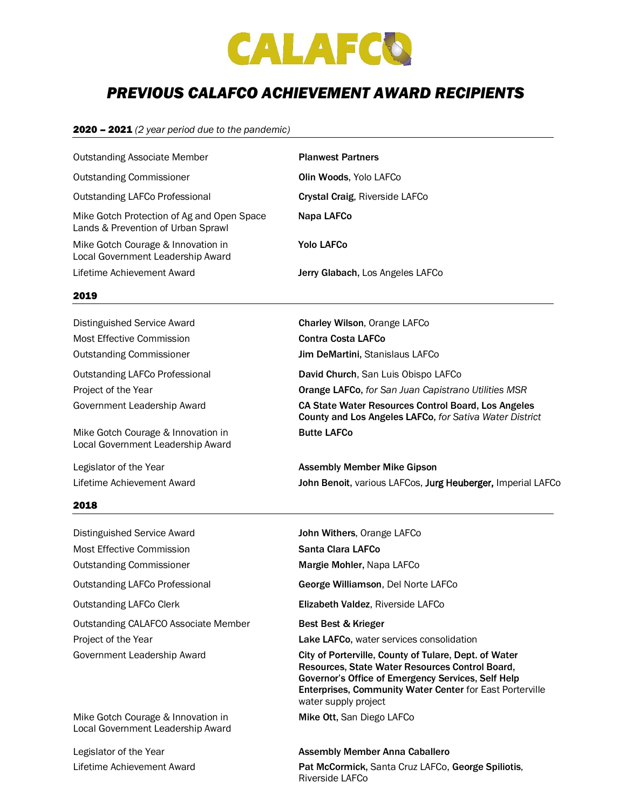

# *PREVIOUS CALAFCO ACHIEVEMENT AWARD RECIPIENTS*

#### 2020 – 2021 *(2 year period due to the pandemic)*

| <b>Outstanding Associate Member</b>                                              | <b>Planwest Partners</b>         |
|----------------------------------------------------------------------------------|----------------------------------|
| <b>Outstanding Commissioner</b>                                                  | <b>Olin Woods, Yolo LAFCo</b>    |
| Outstanding LAFCo Professional                                                   | Crystal Craig, Riverside LAFCo   |
| Mike Gotch Protection of Ag and Open Space<br>Lands & Prevention of Urban Sprawl | Napa LAFCo                       |
| Mike Gotch Courage & Innovation in<br>Local Government Leadership Award          | <b>Yolo LAFCo</b>                |
| Lifetime Achievement Award                                                       | Jerry Glabach, Los Angeles LAFCo |

#### 2019

Distinguished Service Award **Charley Wilson, Orange LAFCo** Most Effective Commission Contra Costa LAFCo

Mike Gotch Courage & Innovation in Butte LAFCo Local Government Leadership Award

#### 2018

Distinguished Service Award **John Withers**, Orange LAFCo Most Effective Commission Santa Clara LAFCo Outstanding Commissioner **Margie Mohler, Napa LAFCo** Outstanding LAFCo Professional George Williamson, Del Norte LAFCo Outstanding LAFCo Clerk **Elizabeth Valdez, Riverside LAFCo** Outstanding CALAFCO Associate Member Best Best & Krieger

Mike Gotch Courage & Innovation in **Mike Ott, San Diego LAFCo** Local Government Leadership Award

Outstanding Commissioner **Jim DeMartini**, Stanislaus LAFCo Outstanding LAFCo Professional **David Church**, San Luis Obispo LAFCo Project of the Year Orange LAFCo, *for San Juan Capistrano Utilities MSR*  Government Leadership Award CA State Water Resources Control Board, Los Angeles County and Los Angeles LAFCo, *for Sativa Water District*

Legislator of the Year **Assembly Member Mike Gipson** Lifetime Achievement Award **John Benoit**, various LAFCos, Jurg Heuberger, Imperial LAFCo

Project of the Year Lake LAFCo, water services consolidation

Government Leadership Award City of Porterville, County of Tulare, Dept. of Water Resources, State Water Resources Control Board, Governor's Office of Emergency Services, Self Help Enterprises, Community Water Center for East Porterville water supply project

#### Legislator of the Year **Assembly Member Anna Caballero** Assembly Member Anna Caballero

Lifetime Achievement Award **Pat McCormick, Santa Cruz LAFCo, George Spiliotis,** Pat McCormick, Santa Cruz LAFCo, George Spiliotis, Riverside LAFCo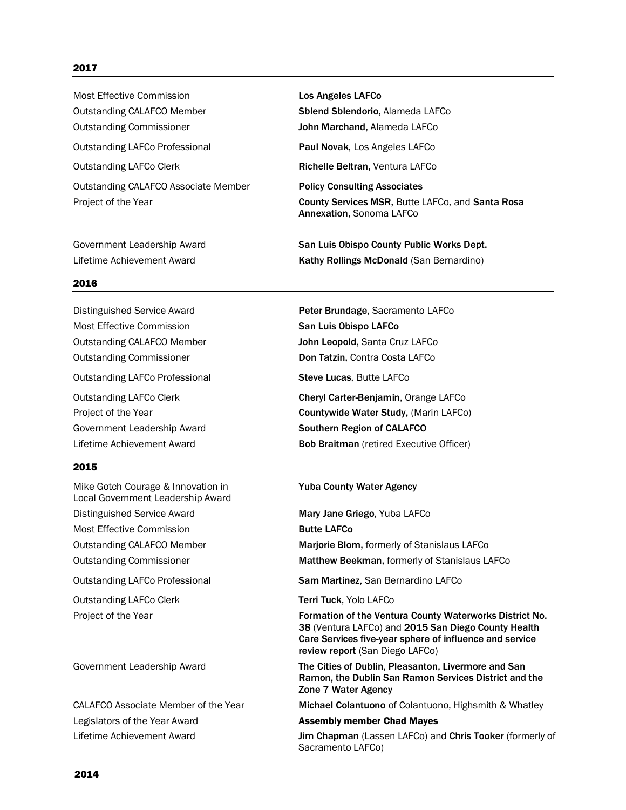#### 2017

Most Effective Commission Los Angeles LAFCo Outstanding CALAFCO Member Suller Splend Sblendorio, Alameda LAFCo Outstanding Commissioner John Marchand, Alameda LAFCo Outstanding LAFCo Professional **Paul Novak**, Los Angeles LAFCo Outstanding LAFCo Clerk **Richelle Beltran, Ventura LAFCo** Outstanding CALAFCO Associate Member Policy Consulting Associates

#### 2016

Most Effective Commission San Luis Obispo LAFCo Outstanding CALAFCO Member John Leopold, Santa Cruz LAFCo Outstanding Commissioner **Don Tatzin, Contra Costa LAFCo** Outstanding LAFCo Professional Steve Lucas, Butte LAFCo Government Leadership Award **Southern Region of CALAFCO** 

#### 2015

Mike Gotch Courage & Innovation in **Yuba County Water Agency** Local Government Leadership Award Distinguished Service Award **Mary Jane Griego, Yuba LAFCo** Most Effective Commission **Butte LAFCo** Outstanding LAFCo Professional Sam Martinez, San Bernardino LAFCo Outstanding LAFCo Clerk Terri Tuck, Yolo LAFCo

Legislators of the Year Award **Assembly member Chad Mayes** 

Project of the Year **County Services MSR**, Butte LAFCo, and Santa Rosa Annexation, Sonoma LAFCo

Government Leadership Award **San Luis Obispo County Public Works Dept.** Lifetime Achievement Award **Kathy Rollings McDonald** (San Bernardino)

Distinguished Service Award Peter Brundage, Sacramento LAFCo Outstanding LAFCo Clerk Cheryl Carter-Benjamin, Orange LAFCo Project of the Year **Countywide Water Study**, (Marin LAFCo)

Lifetime Achievement Award **Bob Braitman** (retired Executive Officer)

Outstanding CALAFCO Member Marjorie Blom, formerly of Stanislaus LAFCo

Outstanding Commissioner **Matthew Beekman**, formerly of Stanislaus LAFCo

Project of the Year Formation of the Ventura County Waterworks District No. 38 (Ventura LAFCo) and 2015 San Diego County Health Care Services five-year sphere of influence and service review report (San Diego LAFCo)

Government Leadership Award The Cities of Dublin, Pleasanton, Livermore and San Ramon, the Dublin San Ramon Services District and the Zone 7 Water Agency

CALAFCO Associate Member of the Year Michael Colantuono of Colantuono, Highsmith & Whatley

Lifetime Achievement Award **Jim Chapman (Lassen LAFCo) and Chris Tooker** (formerly of Sacramento LAFCo)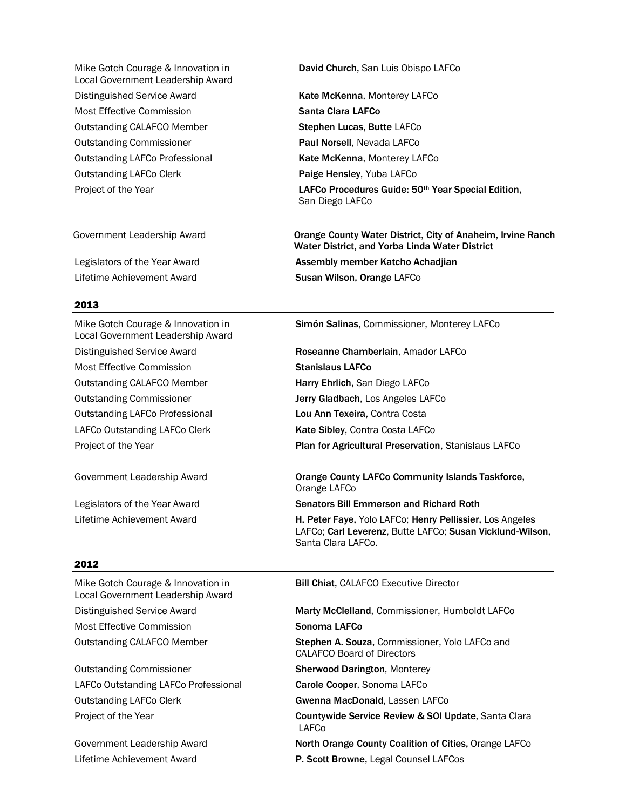Local Government Leadership Award Distinguished Service Award **Kate McKenna, Monterey LAFCo** Most Effective Commission Santa Clara LAFCo Outstanding CALAFCO Member **Stephen Lucas, Butte LAFCo** Outstanding Commissioner **Paul Norsell**, Nevada LAFCo Outstanding LAFCo Professional **Kate McKenna, Monterey LAFCo** Outstanding LAFCo Clerk **Paige Hensley**, Yuba LAFCo

#### 2013

Local Government Leadership Award Most Effective Commission Stanislaus LAFCo Outstanding CALAFCO Member **Harry Ehrlich**, San Diego LAFCo Outstanding Commissioner **Jerry Gladbach**, Los Angeles LAFCo Outstanding LAFCo Professional Lou Ann Texeira, Contra Costa LAFCo Outstanding LAFCo Clerk **Kate Sibley**, Contra Costa LAFCo

Mike Gotch Courage & Innovation in David Church, San Luis Obispo LAFCo

Project of the Year **LAFCo Procedures Guide: 50<sup>th</sup> Year Special Edition,** San Diego LAFCo

Government Leadership Award Orange County Water District, City of Anaheim, Irvine Ranch Water District, and Yorba Linda Water District Legislators of the Year Award **Assembly member Katcho Achadjian** Lifetime Achievement Award **Susan Wilson, Orange LAFCo** 

Mike Gotch Courage & Innovation in Simón Salinas, Commissioner, Monterey LAFCo

Distinguished Service Award Roseanne Chamberlain, Amador LAFCo

Project of the Year **Plan for Agricultural Preservation**, Stanislaus LAFCo

Government Leadership Award **Came County LAFCo Community Islands Taskforce**, Orange LAFCo

Legislators of the Year Award Senators Bill Emmerson and Richard Roth

Lifetime Achievement Award **H. Peter Faye, Yolo LAFCo; Henry Pellissier, Los Angeles** LAFCo; Carl Leverenz, Butte LAFCo; Susan Vicklund-Wilson, Santa Clara LAFCo.

#### 2012

Local Government Leadership Award Most Effective Commission Number of Sonoma LAFCo

Outstanding Commissioner **Sherwood Darington**, Monterey LAFCo Outstanding LAFCo Professional **Carole Cooper**, Sonoma LAFCo Outstanding LAFCo Clerk Gwenna MacDonald, Lassen LAFCo

Mike Gotch Courage & Innovation in **Bill Chiat, CALAFCO Executive Director** 

Distinguished Service Award **Marty McClelland, Commissioner, Humboldt LAFCo** 

Outstanding CALAFCO Member **Stephen A. Souza, Commissioner, Yolo LAFCo and** CALAFCO Board of Directors

Project of the Year **Countywide Service Review & SOI Update**, Santa Clara LAFCo

Government Leadership Award North Orange County Coalition of Cities, Orange LAFCo

Lifetime Achievement Award P. Scott Browne, Legal Counsel LAFCos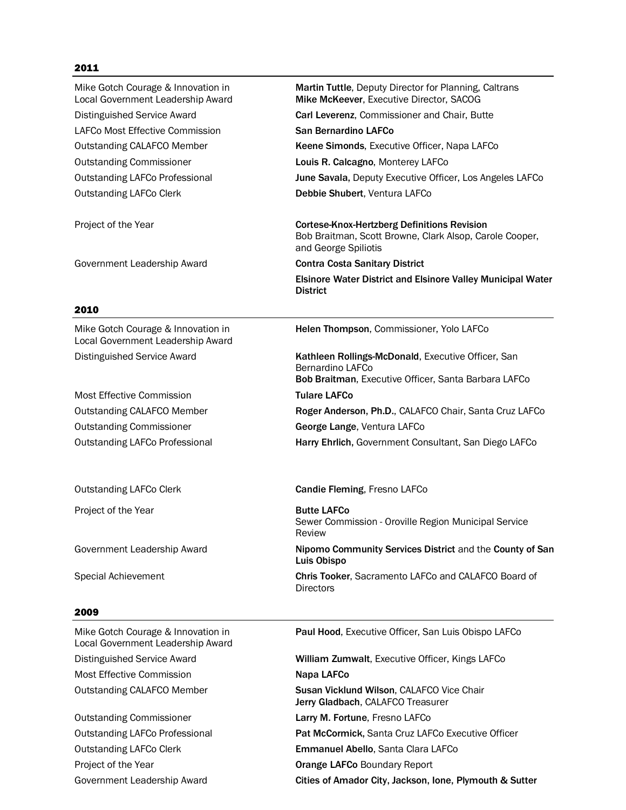# 2011

| Mike Gotch Courage & Innovation in<br>Local Government Leadership Award | Martin Tuttle, Deputy Director for Planning, Caltrans<br>Mike McKeever, Executive Director, SACOG                                     |
|-------------------------------------------------------------------------|---------------------------------------------------------------------------------------------------------------------------------------|
| <b>Distinguished Service Award</b>                                      | Carl Leverenz, Commissioner and Chair, Butte                                                                                          |
| LAFCo Most Effective Commission                                         | San Bernardino LAFCo                                                                                                                  |
| <b>Outstanding CALAFCO Member</b>                                       | Keene Simonds, Executive Officer, Napa LAFCo                                                                                          |
| <b>Outstanding Commissioner</b>                                         | Louis R. Calcagno, Monterey LAFCo                                                                                                     |
| <b>Outstanding LAFCo Professional</b>                                   | June Savala, Deputy Executive Officer, Los Angeles LAFCo                                                                              |
| <b>Outstanding LAFCo Clerk</b>                                          | Debbie Shubert, Ventura LAFCo                                                                                                         |
| Project of the Year                                                     | <b>Cortese-Knox-Hertzberg Definitions Revision</b><br>Bob Braitman, Scott Browne, Clark Alsop, Carole Cooper,<br>and George Spiliotis |
| Government Leadership Award                                             | <b>Contra Costa Sanitary District</b>                                                                                                 |
|                                                                         | <b>Elsinore Water District and Elsinore Valley Municipal Water</b><br><b>District</b>                                                 |
| 2010                                                                    |                                                                                                                                       |
| Mike Gotch Courage & Innovation in<br>Local Government Leadership Award | Helen Thompson, Commissioner, Yolo LAFCo                                                                                              |
| <b>Distinguished Service Award</b>                                      | Kathleen Rollings-McDonald, Executive Officer, San<br>Bernardino LAFCo                                                                |
| <b>Most Effective Commission</b>                                        | Bob Braitman, Executive Officer, Santa Barbara LAFCo<br><b>Tulare LAFCo</b>                                                           |
|                                                                         |                                                                                                                                       |
| <b>Outstanding CALAFCO Member</b><br><b>Outstanding Commissioner</b>    | Roger Anderson, Ph.D., CALAFCO Chair, Santa Cruz LAFCo<br>George Lange, Ventura LAFCo                                                 |
|                                                                         |                                                                                                                                       |
| <b>Outstanding LAFCo Professional</b>                                   | Harry Ehrlich, Government Consultant, San Diego LAFCo                                                                                 |
| <b>Outstanding LAFCo Clerk</b>                                          | Candie Fleming, Fresno LAFCo                                                                                                          |
| Project of the Year                                                     | <b>Butte LAFCo</b><br>Sewer Commission - Oroville Region Municipal Service<br>Review                                                  |
| Government Leadership Award                                             | Nipomo Community Services District and the County of San<br>Luis Obispo                                                               |
| Special Achievement                                                     | Chris Tooker, Sacramento LAFCo and CALAFCO Board of<br>Directors                                                                      |
| 2009                                                                    |                                                                                                                                       |
| Mike Gotch Courage & Innovation in<br>Local Government Leadership Award | Paul Hood, Executive Officer, San Luis Obispo LAFCo                                                                                   |
| <b>Distinguished Service Award</b>                                      |                                                                                                                                       |
|                                                                         | William Zumwalt, Executive Officer, Kings LAFCo                                                                                       |
| Most Effective Commission                                               | Napa LAFCo                                                                                                                            |
| <b>Outstanding CALAFCO Member</b>                                       | Susan Vicklund Wilson, CALAFCO Vice Chair<br>Jerry Gladbach, CALAFCO Treasurer                                                        |
| <b>Outstanding Commissioner</b>                                         | Larry M. Fortune, Fresno LAFCo                                                                                                        |
| <b>Outstanding LAFCo Professional</b>                                   | Pat McCormick, Santa Cruz LAFCo Executive Officer                                                                                     |
| <b>Outstanding LAFCo Clerk</b>                                          | Emmanuel Abello, Santa Clara LAFCo                                                                                                    |
| Project of the Year                                                     | <b>Orange LAFCo Boundary Report</b>                                                                                                   |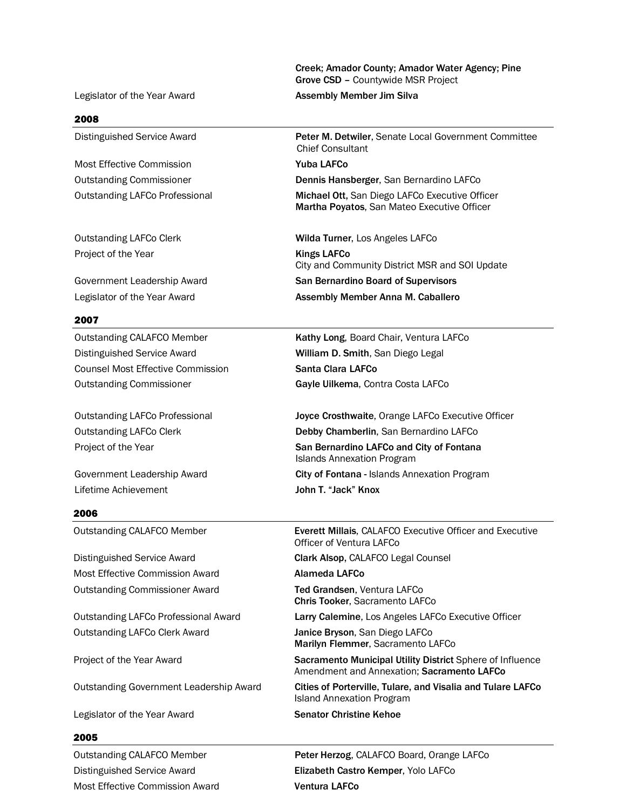Creek; Amador County; Amador Water Agency; Pine Grove CSD – Countywide MSR Project

#### Legislator of the Year Award **Assembly Member Jim Silva**

#### 2008

Most Effective Commission Nuba LAFCo

Project of the Year New York 1997 Shapes Control Mings LAFCo

#### 2007

Distinguished Service Award William D. Smith, San Diego Legal Counsel Most Effective Commission Santa Clara LAFCo

Lifetime Achievement **Contract Contract Contract Contract Contract Contract Contract Contract Contract Contract** 

#### 2006

Distinguished Service Award Clark Alsop, CALAFCO Legal Counsel Most Effective Commission Award **Alameda LAFCo** Outstanding Commissioner Award Ted Grandsen, Ventura LAFCo

Outstanding LAFCo Clerk Award Janice Bryson, San Diego LAFCo

Legislator of the Year Award Senator Christine Kehoe

#### 2005

Most Effective Commission Award Ventura LAFCo

Distinguished Service Award Peter M. Detwiler, Senate Local Government Committee Chief Consultant

Outstanding Commissioner Dennis Hansberger, San Bernardino LAFCo

Outstanding LAFCo Professional Michael Ott, San Diego LAFCo Executive Officer Martha Poyatos, San Mateo Executive Officer

Outstanding LAFCo Clerk Wilda Turner, Los Angeles LAFCo City and Community District MSR and SOI Update Government Leadership Award San Bernardino Board of Supervisors Legislator of the Year Award **Assembly Member Anna M. Caballero** 

Outstanding CALAFCO Member **Kathy Long**, Board Chair, Ventura LAFCo Outstanding Commissioner Gayle Uilkema, Contra Costa LAFCo

Outstanding LAFCo Professional Joyce Crosthwaite, Orange LAFCo Executive Officer Outstanding LAFCo Clerk Debby Chamberlin, San Bernardino LAFCo Project of the Year San Bernardino LAFCo and City of Fontana Islands Annexation Program Government Leadership Award **City of Fontana - Islands Annexation Program** 

Outstanding CALAFCO Member Everett Millais, CALAFCO Executive Officer and Executive Officer of Ventura LAFCo

Chris Tooker, Sacramento LAFCo

Outstanding LAFCo Professional Award Larry Calemine, Los Angeles LAFCo Executive Officer

Marilyn Flemmer, Sacramento LAFCo

Project of the Year Award Sacramento Municipal Utility District Sphere of Influence Amendment and Annexation; Sacramento LAFCo

Outstanding Government Leadership Award **Cities of Porterville, Tulare, and Visalia and Tulare LAFCo** Island Annexation Program

Outstanding CALAFCO Member Peter Herzog, CALAFCO Board, Orange LAFCo Distinguished Service Award Elizabeth Castro Kemper, Yolo LAFCo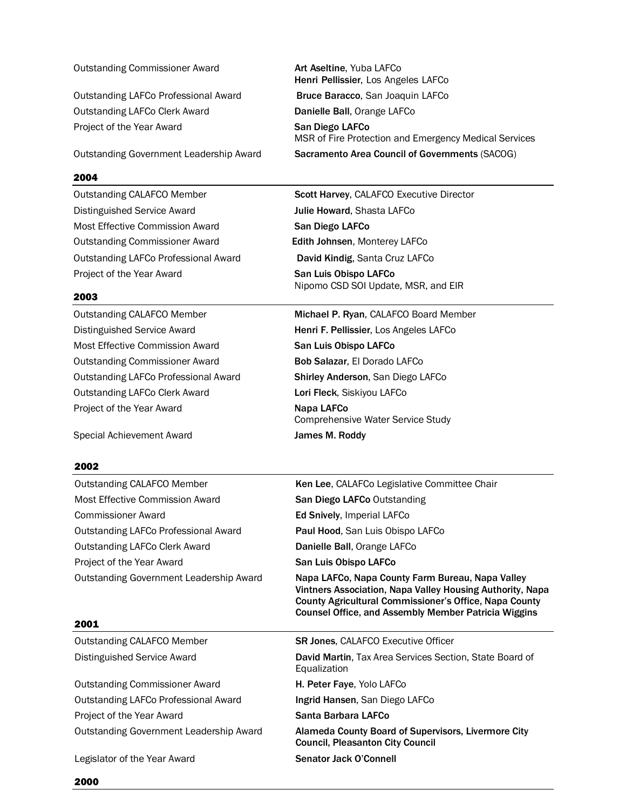# Outstanding LAFCo Professional Award **Bruce Baracco**, San Joaquin LAFCo Outstanding LAFCo Clerk Award **Danielle Ball**, Orange LAFCo Project of the Year Award **San Diego LAFCo**

2004

Distinguished Service Award Julie Howard, Shasta LAFCo Most Effective Commission Award **San Diego LAFCo** Outstanding Commissioner Award Edith Johnsen, Monterey LAFCo Outstanding LAFCo Professional Award **David Kindig**, Santa Cruz LAFCo Project of the Year Award **San Luis Obispo LAFCo** 

# 2003

Distinguished Service Award **Henri F. Pellissier**, Los Angeles LAFCo Most Effective Commission Award **San Luis Obispo LAFCo** Outstanding Commissioner Award **Bob Salazar**, El Dorado LAFCo Outstanding LAFCo Professional Award Shirley Anderson, San Diego LAFCo Outstanding LAFCo Clerk Award Lori Fleck, Siskiyou LAFCo Project of the Year Award Napa LAFCo

Special Achievement Award **James M. Roddy** 

# 2002

Outstanding CALAFCO Member Ken Lee, CALAFCo Legislative Committee Chair Most Effective Commission Award **San Diego LAFCo Outstanding** Commissioner Award Ed Snively, Imperial LAFCo Outstanding LAFCo Professional Award Paul Hood, San Luis Obispo LAFCo Outstanding LAFCo Clerk Award **Danielle Ball**, Orange LAFCo Project of the Year Award **San Luis Obispo LAFCo** 

# 2001

Outstanding CALAFCO Member SR Jones, CALAFCO Executive Officer

Outstanding Commissioner Award **H. Peter Faye**, Yolo LAFCo Outstanding LAFCo Professional Award **Ingrid Hansen**, San Diego LAFCo Project of the Year Award **Santa Barbara LAFCo** 

Legislator of the Year Award Senator Jack O'Connell

Outstanding Commissioner Award **Art Aseltine**, Yuba LAFCo Henri Pellissier, Los Angeles LAFCo

MSR of Fire Protection and Emergency Medical Services Outstanding Government Leadership Award Sacramento Area Council of Governments (SACOG)

Outstanding CALAFCO Member Scott Harvey, CALAFCO Executive Director Nipomo CSD SOI Update, MSR, and EIR

Outstanding CALAFCO Member Michael P. Ryan, CALAFCO Board Member Comprehensive Water Service Study

Outstanding Government Leadership Award Napa LAFCo, Napa County Farm Bureau, Napa Valley Vintners Association, Napa Valley Housing Authority, Napa County Agricultural Commissioner's Office, Napa County Counsel Office, and Assembly Member Patricia Wiggins

Distinguished Service Award David Martin, Tax Area Services Section, State Board of Equalization

Outstanding Government Leadership Award Alameda County Board of Supervisors, Livermore City Council, Pleasanton City Council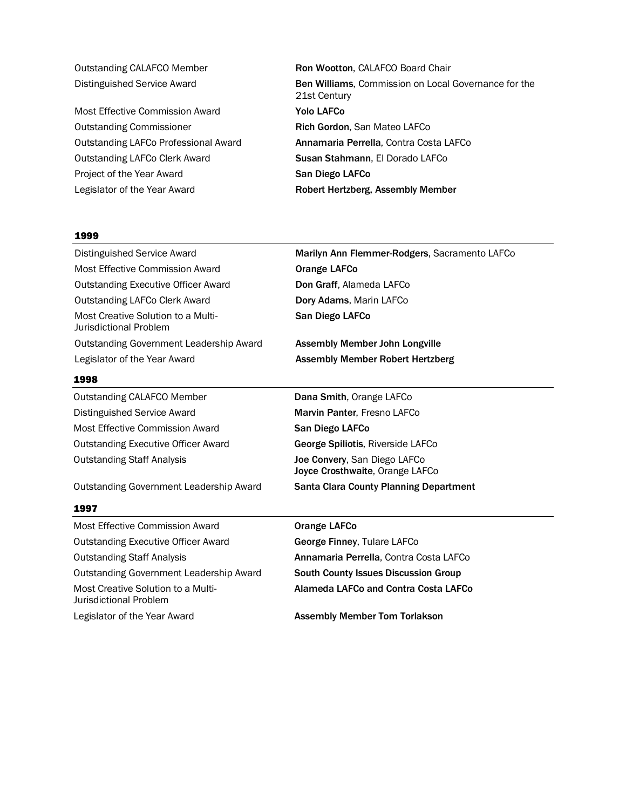Most Effective Commission Award **Yolo LAFCo** Outstanding Commissioner **Rich Gordon**, San Mateo LAFCo Outstanding LAFCo Clerk Award Susan Stahmann, El Dorado LAFCo Project of the Year Award San Diego LAFCo Legislator of the Year Award **Robert Hertzberg, Assembly Member** 

Outstanding CALAFCO Member Ron Wootton, CALAFCO Board Chair Distinguished Service Award **Ben Williams**, Commission on Local Governance for the 21st Century Outstanding LAFCo Professional Award Annamaria Perrella, Contra Costa LAFCo

#### 1999

Most Effective Commission Award **Orange LAFCo** Outstanding Executive Officer Award **Don Graff**, Alameda LAFCo Outstanding LAFCo Clerk Award **Dory Adams**, Marin LAFCo Most Creative Solution to a Multi- San Diego LAFCo Jurisdictional Problem Outstanding Government Leadership Award **Assembly Member John Longville** Legislator of the Year Award **Assembly Member Robert Hertzberg** 

#### 1998

Outstanding CALAFCO Member **Dana Smith, Orange LAFCo** Distinguished Service Award Marvin Panter, Fresno LAFCo Most Effective Commission Award **San Diego LAFCo** Outstanding Executive Officer Award **George Spiliotis**, Riverside LAFCo

Outstanding Government Leadership Award **Santa Clara County Planning Department** 

#### 1997

Most Effective Commission Award **Orange LAFCo** Outstanding Executive Officer Award George Finney, Tulare LAFCo Outstanding Staff Analysis Annamaria Perrella, Contra Costa LAFCo Outstanding Government Leadership Award South County Issues Discussion Group Most Creative Solution to a Multi- **Alameda LAFCo and Contra Costa LAFCo** Jurisdictional Problem Legislator of the Year Award **Assembly Member Tom Torlakson** 

Distinguished Service Award Marilyn Ann Flemmer-Rodgers, Sacramento LAFCo

Outstanding Staff Analysis **Joe Convery**, San Diego LAFCo Joyce Crosthwaite, Orange LAFCo